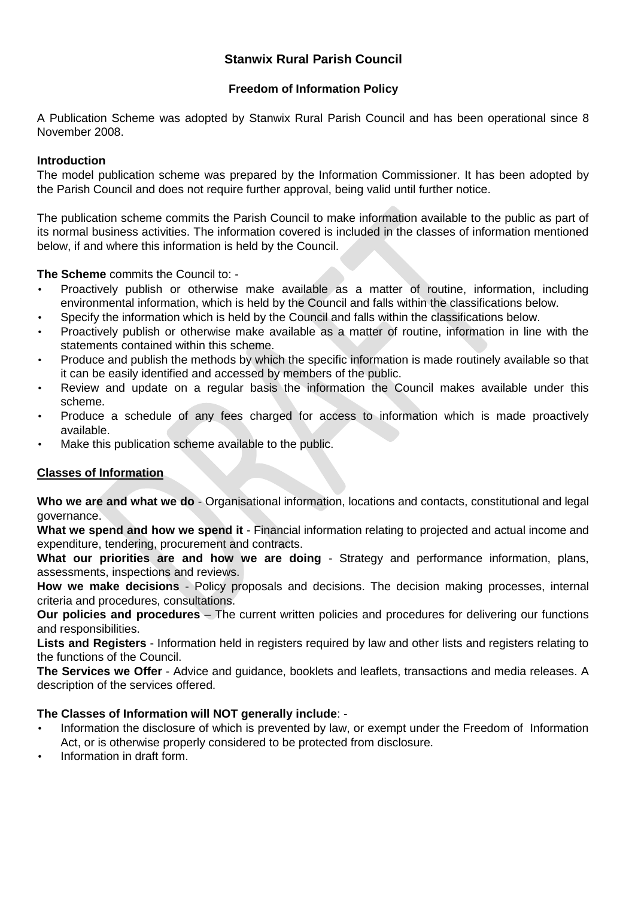# **Stanwix Rural Parish Council**

## **Freedom of Information Policy**

A Publication Scheme was adopted by Stanwix Rural Parish Council and has been operational since 8 November 2008.

#### **Introduction**

The model publication scheme was prepared by the Information Commissioner. It has been adopted by the Parish Council and does not require further approval, being valid until further notice.

The publication scheme commits the Parish Council to make information available to the public as part of its normal business activities. The information covered is included in the classes of information mentioned below, if and where this information is held by the Council.

**The Scheme** commits the Council to: -

- Proactively publish or otherwise make available as a matter of routine, information, including environmental information, which is held by the Council and falls within the classifications below.
- Specify the information which is held by the Council and falls within the classifications below.
- Proactively publish or otherwise make available as a matter of routine, information in line with the statements contained within this scheme.
- Produce and publish the methods by which the specific information is made routinely available so that it can be easily identified and accessed by members of the public.
- Review and update on a regular basis the information the Council makes available under this scheme.
- Produce a schedule of any fees charged for access to information which is made proactively available.
- Make this publication scheme available to the public.

## **Classes of Information**

**Who we are and what we do** - Organisational information, locations and contacts, constitutional and legal governance.

**What we spend and how we spend it** - Financial information relating to projected and actual income and expenditure, tendering, procurement and contracts.

**What our priorities are and how we are doing** - Strategy and performance information, plans, assessments, inspections and reviews.

**How we make decisions** - Policy proposals and decisions. The decision making processes, internal criteria and procedures, consultations.

**Our policies and procedures** – The current written policies and procedures for delivering our functions and responsibilities.

**Lists and Registers** - Information held in registers required by law and other lists and registers relating to the functions of the Council.

**The Services we Offer** - Advice and guidance, booklets and leaflets, transactions and media releases. A description of the services offered.

## **The Classes of Information will NOT generally include**: -

- Information the disclosure of which is prevented by law, or exempt under the Freedom of Information Act, or is otherwise properly considered to be protected from disclosure.
- Information in draft form.